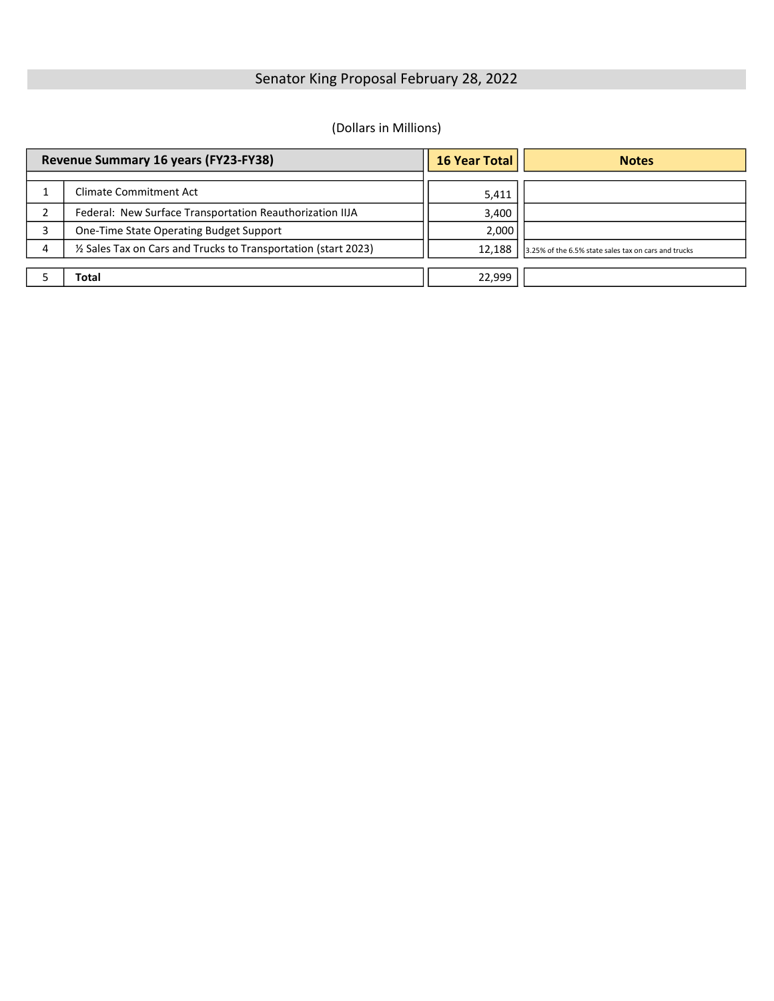## Senator King Proposal February 28, 2022

#### (Dollars in Millions)

| Revenue Summary 16 years (FY23-FY38) |                                                                 | 16 Year Total | <b>Notes</b>                                         |
|--------------------------------------|-----------------------------------------------------------------|---------------|------------------------------------------------------|
|                                      | <b>Climate Commitment Act</b>                                   | 5,411         |                                                      |
|                                      | Federal: New Surface Transportation Reauthorization IIJA        | 3,400         |                                                      |
|                                      | One-Time State Operating Budget Support                         | 2,000         |                                                      |
| 4                                    | 1/2 Sales Tax on Cars and Trucks to Transportation (start 2023) | 12.188        | 3.25% of the 6.5% state sales tax on cars and trucks |
|                                      | Total                                                           | 22,999        |                                                      |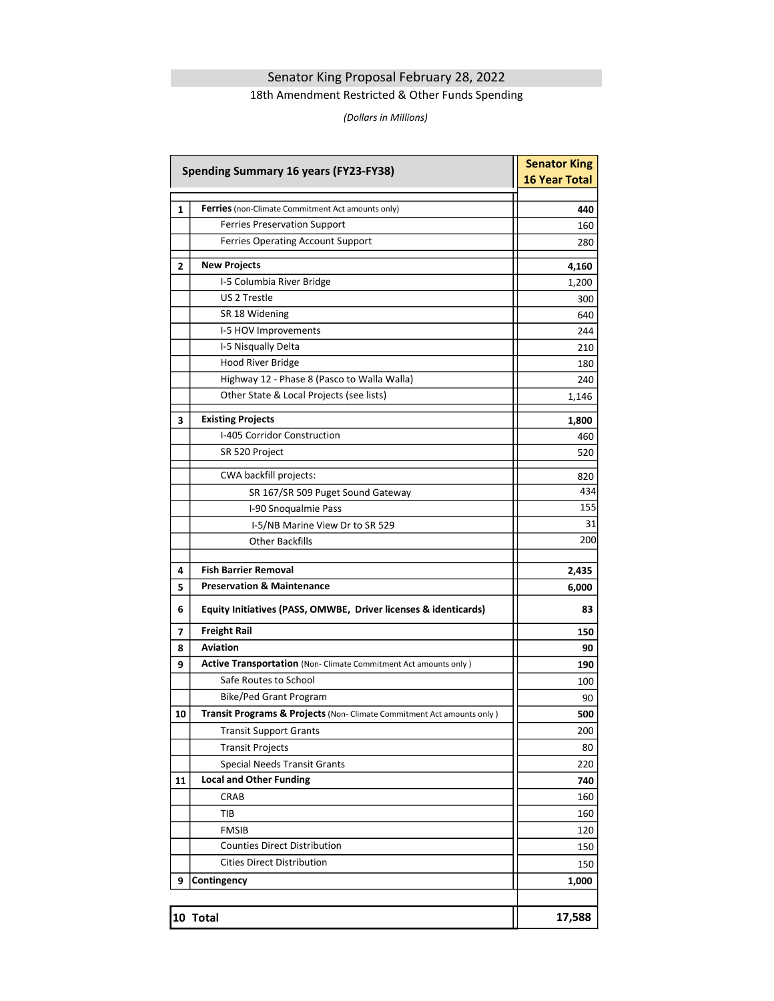### Senator King Proposal February 28, 2022

#### 18th Amendment Restricted & Other Funds Spending

(Dollars in Millions)

| <b>Spending Summary 16 years (FY23-FY38)</b> | <b>Senator King</b><br><b>16 Year Total</b>                                                     |            |
|----------------------------------------------|-------------------------------------------------------------------------------------------------|------------|
|                                              |                                                                                                 |            |
| 1                                            | <b>Ferries</b> (non-Climate Commitment Act amounts only)<br><b>Ferries Preservation Support</b> | 440<br>160 |
|                                              | Ferries Operating Account Support                                                               | 280        |
|                                              |                                                                                                 |            |
| $\mathbf{2}$                                 | <b>New Projects</b>                                                                             | 4,160      |
|                                              | I-5 Columbia River Bridge                                                                       | 1,200      |
|                                              | US 2 Trestle                                                                                    | 300        |
|                                              | SR 18 Widening                                                                                  | 640        |
|                                              | I-5 HOV Improvements                                                                            | 244        |
|                                              | I-5 Nisqually Delta                                                                             | 210        |
|                                              | Hood River Bridge                                                                               | 180        |
|                                              | Highway 12 - Phase 8 (Pasco to Walla Walla)                                                     | 240        |
|                                              | Other State & Local Projects (see lists)                                                        | 1,146      |
| 3                                            | <b>Existing Projects</b>                                                                        | 1,800      |
|                                              | I-405 Corridor Construction                                                                     | 460        |
|                                              | SR 520 Project                                                                                  | 520        |
|                                              | CWA backfill projects:                                                                          | 820        |
|                                              | SR 167/SR 509 Puget Sound Gateway                                                               | 434        |
|                                              | I-90 Snoqualmie Pass                                                                            | 155        |
|                                              | I-5/NB Marine View Dr to SR 529                                                                 | 31         |
|                                              | <b>Other Backfills</b>                                                                          | 200        |
| 4                                            | <b>Fish Barrier Removal</b>                                                                     | 2,435      |
| 5                                            | <b>Preservation &amp; Maintenance</b>                                                           | 6,000      |
| 6                                            | Equity Initiatives (PASS, OMWBE, Driver licenses & identicards)                                 | 83         |
| 7                                            | <b>Freight Rail</b>                                                                             | 150        |
| 8                                            | <b>Aviation</b>                                                                                 | 90         |
| 9                                            | <b>Active Transportation</b> (Non- Climate Commitment Act amounts only)                         | 190        |
|                                              | Safe Routes to School                                                                           | 100        |
|                                              | <b>Bike/Ped Grant Program</b>                                                                   | 90         |
| 10                                           | Transit Programs & Projects (Non- Climate Commitment Act amounts only)                          | 500        |
|                                              | <b>Transit Support Grants</b>                                                                   | 200        |
|                                              | <b>Transit Projects</b>                                                                         | 80         |
|                                              | <b>Special Needs Transit Grants</b>                                                             | 220        |
| 11                                           | <b>Local and Other Funding</b>                                                                  | 740        |
|                                              | CRAB                                                                                            | 160        |
|                                              | TIB                                                                                             | 160        |
|                                              | <b>FMSIB</b>                                                                                    | 120        |
|                                              | <b>Counties Direct Distribution</b>                                                             | 150        |
|                                              | <b>Cities Direct Distribution</b>                                                               | 150        |
| 9                                            | Contingency                                                                                     | 1,000      |
|                                              |                                                                                                 |            |
|                                              | 10 Total                                                                                        | 17,588     |